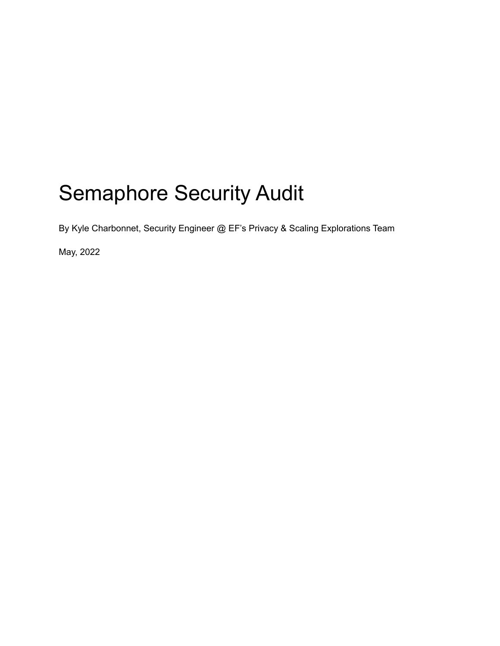# Semaphore Security Audit

By Kyle Charbonnet, Security Engineer @ EF's Privacy & Scaling Explorations Team

May, 2022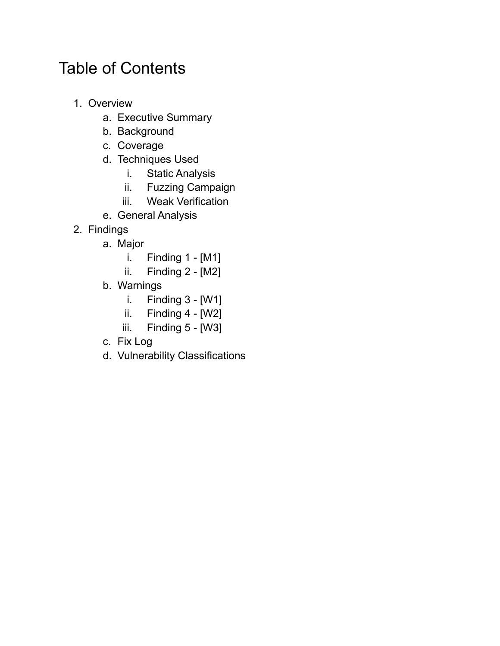## Table of Contents

- 1. Overview
	- a. Executive Summary
	- b. Background
	- c. Coverage
	- d. Techniques Used
		- i. Static Analysis
		- ii. Fuzzing Campaign
		- iii. Weak Verification
	- e. General Analysis
- 2. Findings
	- a. Major
		- i. Finding 1 [M1]
		- ii. Finding 2 [M2]
	- b. Warnings
		- i. Finding 3 [W1]
		- ii. Finding  $4 [W2]$
		- iii. Finding 5 [W3]
	- c. Fix Log
	- d. Vulnerability Classifications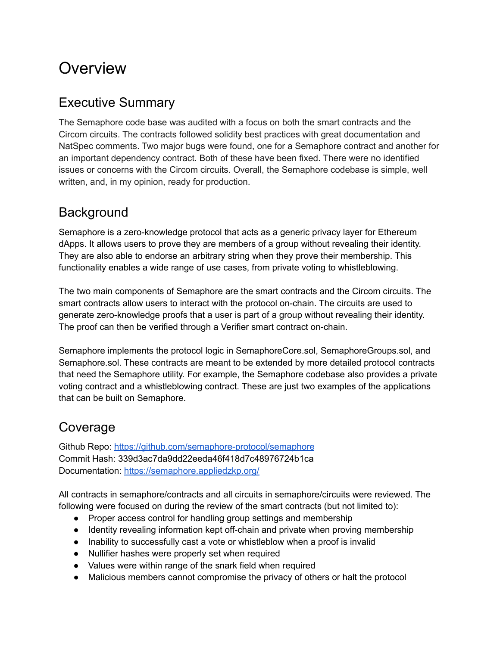## **Overview**

## Executive Summary

The Semaphore code base was audited with a focus on both the smart contracts and the Circom circuits. The contracts followed solidity best practices with great documentation and NatSpec comments. Two major bugs were found, one for a Semaphore contract and another for an important dependency contract. Both of these have been fixed. There were no identified issues or concerns with the Circom circuits. Overall, the Semaphore codebase is simple, well written, and, in my opinion, ready for production.

## **Background**

Semaphore is a zero-knowledge protocol that acts as a generic privacy layer for Ethereum dApps. It allows users to prove they are members of a group without revealing their identity. They are also able to endorse an arbitrary string when they prove their membership. This functionality enables a wide range of use cases, from private voting to whistleblowing.

The two main components of Semaphore are the smart contracts and the Circom circuits. The smart contracts allow users to interact with the protocol on-chain. The circuits are used to generate zero-knowledge proofs that a user is part of a group without revealing their identity. The proof can then be verified through a Verifier smart contract on-chain.

Semaphore implements the protocol logic in SemaphoreCore.sol, SemaphoreGroups.sol, and Semaphore.sol. These contracts are meant to be extended by more detailed protocol contracts that need the Semaphore utility. For example, the Semaphore codebase also provides a private voting contract and a whistleblowing contract. These are just two examples of the applications that can be built on Semaphore.

## Coverage

Github Repo: <https://github.com/semaphore-protocol/semaphore> Commit Hash: 339d3ac7da9dd22eeda46f418d7c48976724b1ca Documentation: <https://semaphore.appliedzkp.org/>

All contracts in semaphore/contracts and all circuits in semaphore/circuits were reviewed. The following were focused on during the review of the smart contracts (but not limited to):

- Proper access control for handling group settings and membership
- Identity revealing information kept off-chain and private when proving membership
- Inability to successfully cast a vote or whistleblow when a proof is invalid
- Nullifier hashes were properly set when required
- Values were within range of the snark field when required
- Malicious members cannot compromise the privacy of others or halt the protocol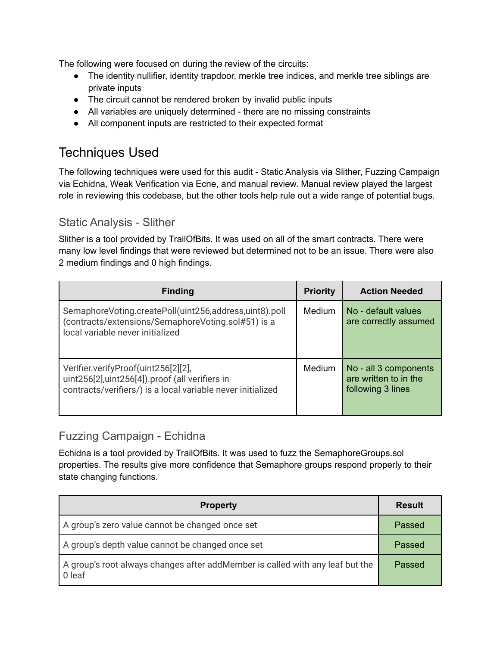The following were focused on during the review of the circuits:

- The identity nullifier, identity trapdoor, merkle tree indices, and merkle tree siblings are private inputs
- The circuit cannot be rendered broken by invalid public inputs
- All variables are uniquely determined there are no missing constraints
- All component inputs are restricted to their expected format

## Techniques Used

The following techniques were used for this audit - Static Analysis via Slither, Fuzzing Campaign via Echidna, Weak Verification via Ecne, and manual review. Manual review played the largest role in reviewing this codebase, but the other tools help rule out a wide range of potential bugs.

#### Static Analysis - Slither

Slither is a tool provided by TrailOfBits. It was used on all of the smart contracts. There were many low level findings that were reviewed but determined not to be an issue. There were also 2 medium findings and 0 high findings.

| <b>Finding</b>                                                                                                                                         | <b>Priority</b> | <b>Action Needed</b>                                                |
|--------------------------------------------------------------------------------------------------------------------------------------------------------|-----------------|---------------------------------------------------------------------|
| SemaphoreVoting.createPoll(uint256,address,uint8).poll<br>(contracts/extensions/SemaphoreVoting.sol#51) is a<br>local variable never initialized       | Medium          | No - default values<br>are correctly assumed                        |
| Verifier.verifyProof(uint256[2][2],<br>uint256[2], uint256[4]). proof (all verifiers in<br>contracts/verifiers/) is a local variable never initialized | Medium          | No - all 3 components<br>are written to in the<br>following 3 lines |

#### Fuzzing Campaign - Echidna

Echidna is a tool provided by TrailOfBits. It was used to fuzz the SemaphoreGroups.sol properties. The results give more confidence that Semaphore groups respond properly to their state changing functions.

| <b>Property</b>                                                                         | <b>Result</b> |
|-----------------------------------------------------------------------------------------|---------------|
| A group's zero value cannot be changed once set                                         | Passed        |
| A group's depth value cannot be changed once set                                        | Passed        |
| A group's root always changes after addMember is called with any leaf but the<br>0 leaf | Passed        |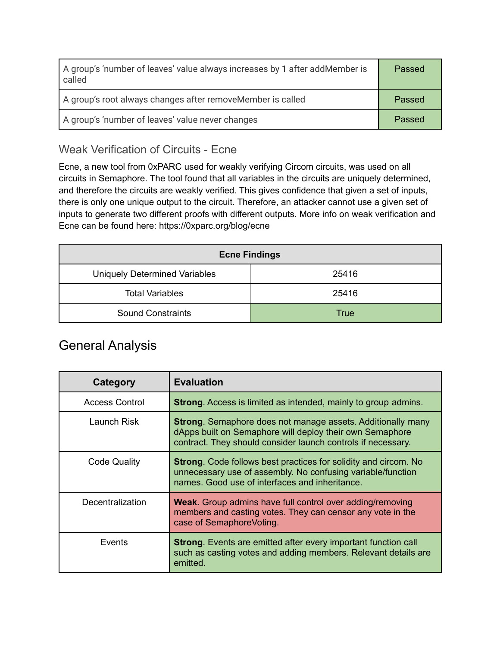| A group's 'number of leaves' value always increases by 1 after addMember is<br>called | Passed |
|---------------------------------------------------------------------------------------|--------|
| A group's root always changes after removeMember is called                            | Passed |
| A group's 'number of leaves' value never changes                                      | Passed |

### Weak Verification of Circuits - Ecne

Ecne, a new tool from 0xPARC used for weakly verifying Circom circuits, was used on all circuits in Semaphore. The tool found that all variables in the circuits are uniquely determined, and therefore the circuits are weakly verified. This gives confidence that given a set of inputs, there is only one unique output to the circuit. Therefore, an attacker cannot use a given set of inputs to generate two different proofs with different outputs. More info on weak verification and Ecne can be found here: https://0xparc.org/blog/ecne

| <b>Ecne Findings</b>                 |             |  |
|--------------------------------------|-------------|--|
| <b>Uniquely Determined Variables</b> | 25416       |  |
| <b>Total Variables</b>               | 25416       |  |
| <b>Sound Constraints</b>             | <b>True</b> |  |

## General Analysis

| Category              | <b>Evaluation</b>                                                                                                                                                                              |
|-----------------------|------------------------------------------------------------------------------------------------------------------------------------------------------------------------------------------------|
| <b>Access Control</b> | <b>Strong.</b> Access is limited as intended, mainly to group admins.                                                                                                                          |
| Launch Risk           | <b>Strong.</b> Semaphore does not manage assets. Additionally many<br>dApps built on Semaphore will deploy their own Semaphore<br>contract. They should consider launch controls if necessary. |
| <b>Code Quality</b>   | <b>Strong.</b> Code follows best practices for solidity and circom. No<br>unnecessary use of assembly. No confusing variable/function<br>names. Good use of interfaces and inheritance.        |
| Decentralization      | <b>Weak.</b> Group admins have full control over adding/removing<br>members and casting votes. They can censor any vote in the<br>case of SemaphoreVoting.                                     |
| Events                | <b>Strong.</b> Events are emitted after every important function call<br>such as casting votes and adding members. Relevant details are<br>emitted.                                            |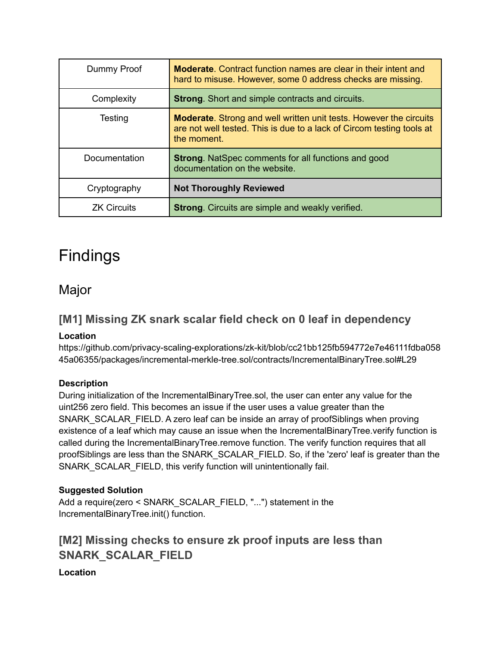| Dummy Proof        | <b>Moderate.</b> Contract function names are clear in their intent and<br>hard to misuse. However, some 0 address checks are missing.                             |
|--------------------|-------------------------------------------------------------------------------------------------------------------------------------------------------------------|
| Complexity         | <b>Strong.</b> Short and simple contracts and circuits.                                                                                                           |
| Testing            | <b>Moderate.</b> Strong and well written unit tests. However the circuits<br>are not well tested. This is due to a lack of Circom testing tools at<br>the moment. |
| Documentation      | <b>Strong.</b> NatSpec comments for all functions and good<br>documentation on the website.                                                                       |
| Cryptography       | <b>Not Thoroughly Reviewed</b>                                                                                                                                    |
| <b>ZK Circuits</b> | <b>Strong.</b> Circuits are simple and weakly verified.                                                                                                           |

## Findings

## Major

## **[M1] Missing ZK snark scalar field check on 0 leaf in dependency**

#### **Location**

https://github.com/privacy-scaling-explorations/zk-kit/blob/cc21bb125fb594772e7e46111fdba058 45a06355/packages/incremental-merkle-tree.sol/contracts/IncrementalBinaryTree.sol#L29

#### **Description**

During initialization of the IncrementalBinaryTree.sol, the user can enter any value for the uint256 zero field. This becomes an issue if the user uses a value greater than the SNARK\_SCALAR\_FIELD. A zero leaf can be inside an array of proofSiblings when proving existence of a leaf which may cause an issue when the IncrementalBinaryTree.verify function is called during the IncrementalBinaryTree.remove function. The verify function requires that all proofSiblings are less than the SNARK\_SCALAR\_FIELD. So, if the 'zero' leaf is greater than the SNARK\_SCALAR\_FIELD, this verify function will unintentionally fail.

#### **Suggested Solution**

Add a require(zero < SNARK\_SCALAR\_FIELD, "...") statement in the IncrementalBinaryTree.init() function.

### **[M2] Missing checks to ensure zk proof inputs are less than SNARK\_SCALAR\_FIELD**

**Location**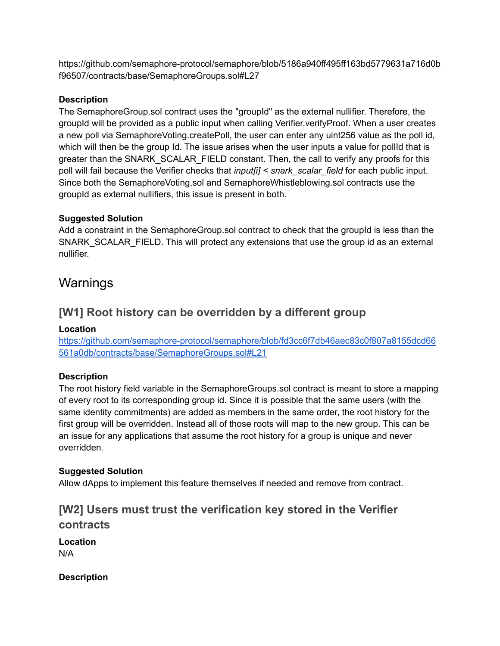https://github.com/semaphore-protocol/semaphore/blob/5186a940ff495ff163bd5779631a716d0b f96507/contracts/base/SemaphoreGroups.sol#L27

#### **Description**

The SemaphoreGroup.sol contract uses the "groupId" as the external nullifier. Therefore, the groupId will be provided as a public input when calling Verifier.verifyProof. When a user creates a new poll via SemaphoreVoting.createPoll, the user can enter any uint256 value as the poll id, which will then be the group Id. The issue arises when the user inputs a value for pollid that is greater than the SNARK\_SCALAR\_FIELD constant. Then, the call to verify any proofs for this poll will fail because the Verifier checks that *input[i] < snark\_scalar\_field* for each public input. Since both the SemaphoreVoting.sol and SemaphoreWhistleblowing.sol contracts use the groupId as external nullifiers, this issue is present in both.

#### **Suggested Solution**

Add a constraint in the SemaphoreGroup.sol contract to check that the groupId is less than the SNARK\_SCALAR\_FIELD. This will protect any extensions that use the group id as an external nullifier.

## Warnings

### **[W1] Root history can be overridden by a different group**

#### **Location**

[https://github.com/semaphore-protocol/semaphore/blob/fd3cc6f7db46aec83c0f807a8155dcd66](https://github.com/semaphore-protocol/semaphore/blob/fd3cc6f7db46aec83c0f807a8155dcd66561a0db/contracts/base/SemaphoreGroups.sol#L21) [561a0db/contracts/base/SemaphoreGroups.sol#L21](https://github.com/semaphore-protocol/semaphore/blob/fd3cc6f7db46aec83c0f807a8155dcd66561a0db/contracts/base/SemaphoreGroups.sol#L21)

#### **Description**

The root history field variable in the SemaphoreGroups.sol contract is meant to store a mapping of every root to its corresponding group id. Since it is possible that the same users (with the same identity commitments) are added as members in the same order, the root history for the first group will be overridden. Instead all of those roots will map to the new group. This can be an issue for any applications that assume the root history for a group is unique and never overridden.

#### **Suggested Solution**

Allow dApps to implement this feature themselves if needed and remove from contract.

### **[W2] Users must trust the verification key stored in the Verifier contracts**

**Location** N/A

**Description**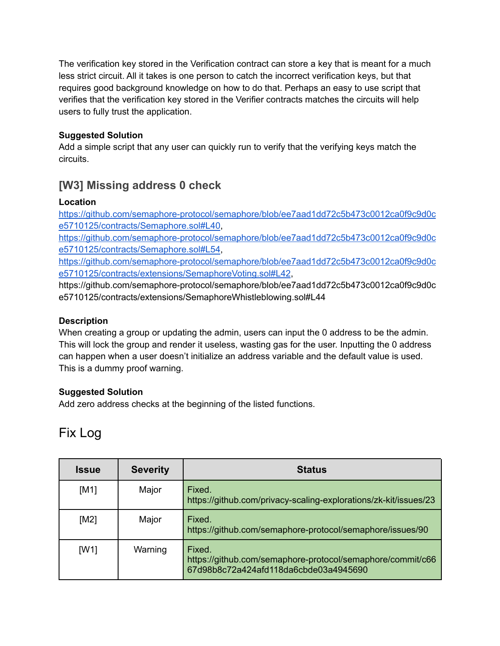The verification key stored in the Verification contract can store a key that is meant for a much less strict circuit. All it takes is one person to catch the incorrect verification keys, but that requires good background knowledge on how to do that. Perhaps an easy to use script that verifies that the verification key stored in the Verifier contracts matches the circuits will help users to fully trust the application.

#### **Suggested Solution**

Add a simple script that any user can quickly run to verify that the verifying keys match the circuits.

## **[W3] Missing address 0 check**

#### **Location**

[https://github.com/semaphore-protocol/semaphore/blob/ee7aad1dd72c5b473c0012ca0f9c9d0c](https://github.com/semaphore-protocol/semaphore/blob/ee7aad1dd72c5b473c0012ca0f9c9d0ce5710125/contracts/Semaphore.sol#L40) [e5710125/contracts/Semaphore.sol#L40,](https://github.com/semaphore-protocol/semaphore/blob/ee7aad1dd72c5b473c0012ca0f9c9d0ce5710125/contracts/Semaphore.sol#L40)

[https://github.com/semaphore-protocol/semaphore/blob/ee7aad1dd72c5b473c0012ca0f9c9d0c](https://github.com/semaphore-protocol/semaphore/blob/ee7aad1dd72c5b473c0012ca0f9c9d0ce5710125/contracts/Semaphore.sol#L54) [e5710125/contracts/Semaphore.sol#L54,](https://github.com/semaphore-protocol/semaphore/blob/ee7aad1dd72c5b473c0012ca0f9c9d0ce5710125/contracts/Semaphore.sol#L54)

[https://github.com/semaphore-protocol/semaphore/blob/ee7aad1dd72c5b473c0012ca0f9c9d0c](https://github.com/semaphore-protocol/semaphore/blob/ee7aad1dd72c5b473c0012ca0f9c9d0ce5710125/contracts/extensions/SemaphoreVoting.sol#L42) [e5710125/contracts/extensions/SemaphoreVoting.sol#L42](https://github.com/semaphore-protocol/semaphore/blob/ee7aad1dd72c5b473c0012ca0f9c9d0ce5710125/contracts/extensions/SemaphoreVoting.sol#L42),

https://github.com/semaphore-protocol/semaphore/blob/ee7aad1dd72c5b473c0012ca0f9c9d0c e5710125/contracts/extensions/SemaphoreWhistleblowing.sol#L44

#### **Description**

When creating a group or updating the admin, users can input the 0 address to be the admin. This will lock the group and render it useless, wasting gas for the user. Inputting the 0 address can happen when a user doesn't initialize an address variable and the default value is used. This is a dummy proof warning.

#### **Suggested Solution**

Add zero address checks at the beginning of the listed functions.

## Fix Log

| <b>Issue</b> | <b>Severity</b> | <b>Status</b>                                                                                                 |
|--------------|-----------------|---------------------------------------------------------------------------------------------------------------|
| [M1]         | Major           | Fixed.<br>https://github.com/privacy-scaling-explorations/zk-kit/issues/23                                    |
| [M2]         | Major           | Fixed.<br>https://github.com/semaphore-protocol/semaphore/issues/90                                           |
| [W1]         | Warning         | Fixed.<br>https://github.com/semaphore-protocol/semaphore/commit/c66<br>67d98b8c72a424afd118da6cbde03a4945690 |